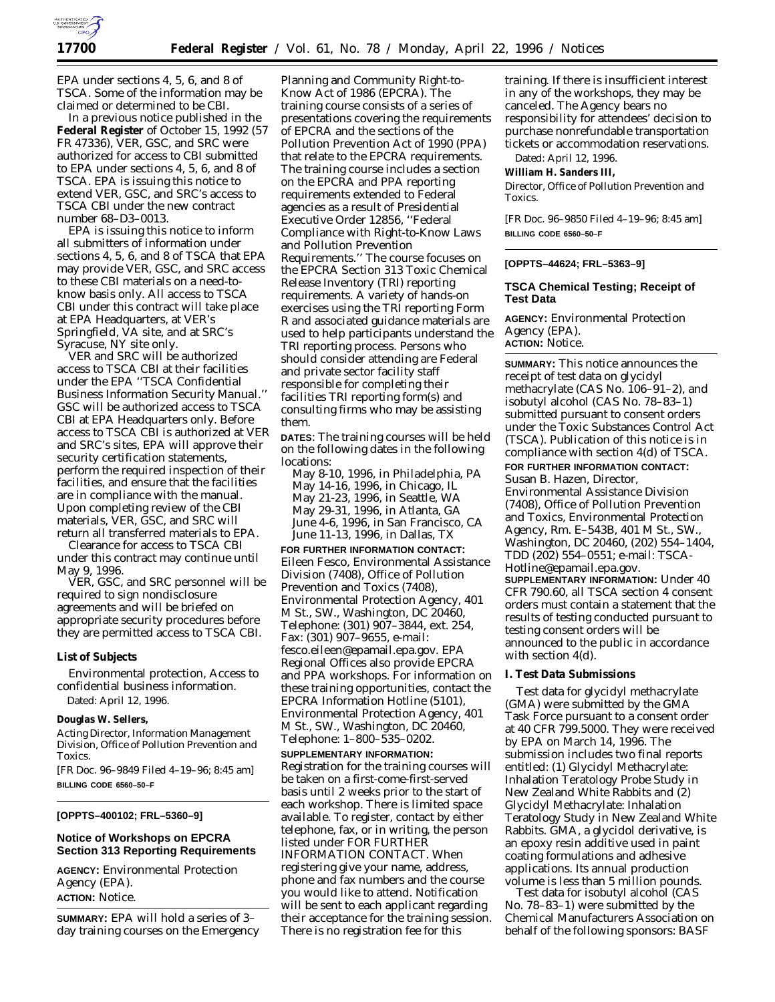

EPA under sections 4, 5, 6, and 8 of TSCA. Some of the information may be claimed or determined to be CBI.

In a previous notice published in the **Federal Register** of October 15, 1992 (57 FR 47336), VER, GSC, and SRC were authorized for access to CBI submitted to EPA under sections 4, 5, 6, and 8 of TSCA. EPA is issuing this notice to extend VER, GSC, and SRC's access to TSCA CBI under the new contract number 68–D3–0013.

EPA is issuing this notice to inform all submitters of information under sections 4, 5, 6, and 8 of TSCA that EPA may provide VER, GSC, and SRC access to these CBI materials on a need-toknow basis only. All access to TSCA CBI under this contract will take place at EPA Headquarters, at VER's Springfield, VA site, and at SRC's Syracuse, NY site only.

VER and SRC will be authorized access to TSCA CBI at their facilities under the EPA ''*TSCA Confidential Business Information Security Manual*.'' GSC will be authorized access to TSCA CBI at EPA Headquarters only. Before access to TSCA CBI is authorized at VER and SRC's sites, EPA will approve their security certification statements, perform the required inspection of their facilities, and ensure that the facilities are in compliance with the manual. Upon completing review of the CBI materials, VER, GSC, and SRC will return all transferred materials to EPA.

Clearance for access to TSCA CBI under this contract may continue until May 9, 1996.

VER, GSC, and SRC personnel will be required to sign nondisclosure agreements and will be briefed on appropriate security procedures before they are permitted access to TSCA CBI.

### **List of Subjects**

Environmental protection, Access to confidential business information. Dated: April 12, 1996.

### **Douglas W. Sellers,**

*Acting Director, Information Management Division, Office of Pollution Prevention and Toxics.*

[FR Doc. 96–9849 Filed 4–19–96; 8:45 am] **BILLING CODE 6560–50–F**

## **[OPPTS–400102; FRL–5360–9]**

# **Notice of Workshops on EPCRA Section 313 Reporting Requirements**

**AGENCY:** Environmental Protection Agency (EPA). **ACTION:** Notice.

**SUMMARY:** EPA will hold a series of 3– day training courses on the Emergency

Planning and Community Right-to-Know Act of 1986 (EPCRA). The training course consists of a series of presentations covering the requirements of EPCRA and the sections of the Pollution Prevention Act of 1990 (PPA) that relate to the EPCRA requirements. The training course includes a section on the EPCRA and PPA reporting requirements extended to Federal agencies as a result of Presidential Executive Order 12856, ''Federal Compliance with Right-to-Know Laws and Pollution Prevention Requirements.'' The course focuses on the EPCRA Section 313 Toxic Chemical Release Inventory (TRI) reporting requirements. A variety of hands-on exercises using the TRI reporting Form R and associated guidance materials are used to help participants understand the TRI reporting process. Persons who should consider attending are Federal and private sector facility staff responsible for completing their facilities TRI reporting form(s) and consulting firms who may be assisting them.

**DATES**: The training courses will be held on the following dates in the following locations:

May 8-10, 1996, in Philadelphia, PA May 14-16, 1996, in Chicago, IL May 21-23, 1996, in Seattle, WA May 29-31, 1996, in Atlanta, GA June 4-6, 1996, in San Francisco, CA June 11-13, 1996, in Dallas, TX

**FOR FURTHER INFORMATION CONTACT:** Eileen Fesco, Environmental Assistance Division (7408), Office of Pollution Prevention and Toxics (7408), Environmental Protection Agency, 401 M St., SW., Washington, DC 20460, Telephone: (301) 907–3844, ext. 254, Fax: (301) 907–9655, e-mail: fesco.eileen@epamail.epa.gov. EPA Regional Offices also provide EPCRA and PPA workshops. For information on these training opportunities, contact the EPCRA Information Hotline (5101), Environmental Protection Agency, 401 M St., SW., Washington, DC 20460, Telephone: 1–800–535–0202.

#### **SUPPLEMENTARY INFORMATION:**

Registration for the training courses will be taken on a first-come-first-served basis until 2 weeks prior to the start of each workshop. There is limited space available. To register, contact by either telephone, fax, or in writing, the person listed under FOR FURTHER INFORMATION CONTACT. When

registering give your name, address, phone and fax numbers and the course you would like to attend. Notification will be sent to each applicant regarding their acceptance for the training session. There is no registration fee for this

training. If there is insufficient interest in any of the workshops, they may be canceled. The Agency bears no responsibility for attendees' decision to purchase nonrefundable transportation tickets or accommodation reservations.

Dated: April 12, 1996.

**William H. Sanders III,**

*Director, Office of Pollution Prevention and Toxics.*

[FR Doc. 96–9850 Filed 4–19–96; 8:45 am] **BILLING CODE 6560–50–F**

## **[OPPTS–44624; FRL–5363–9]**

# **TSCA Chemical Testing; Receipt of Test Data**

**AGENCY:** Environmental Protection Agency (EPA). **ACTION:** Notice.

**SUMMARY:** This notice announces the receipt of test data on glycidyl methacrylate (CAS No. 106–91–2), and isobutyl alcohol (CAS No. 78–83–1) submitted pursuant to consent orders under the Toxic Substances Control Act (TSCA). Publication of this notice is in compliance with section 4(d) of TSCA. **FOR FURTHER INFORMATION CONTACT:**

Susan B. Hazen, Director, Environmental Assistance Division (7408), Office of Pollution Prevention and Toxics, Environmental Protection Agency, Rm. E–543B, 401 M St., SW., Washington, DC 20460, (202) 554–1404, TDD (202) 554–0551; e-mail: TSCA-

Hotline@epamail.epa.gov. **SUPPLEMENTARY INFORMATION:** Under 40 CFR 790.60, all TSCA section 4 consent orders must contain a statement that the results of testing conducted pursuant to testing consent orders will be announced to the public in accordance with section 4(d).

## **I. Test Data Submissions**

Test data for glycidyl methacrylate (GMA) were submitted by the GMA Task Force pursuant to a consent order at 40 CFR 799.5000. They were received by EPA on March 14, 1996. The submission includes two final reports entitled: (1) Glycidyl Methacrylate: Inhalation Teratology Probe Study in New Zealand White Rabbits and (2) Glycidyl Methacrylate: Inhalation Teratology Study in New Zealand White Rabbits. GMA, a glycidol derivative, is an epoxy resin additive used in paint coating formulations and adhesive applications. Its annual production volume is less than 5 million pounds.

Test data for isobutyl alcohol (CAS No. 78–83–1) were submitted by the Chemical Manufacturers Association on behalf of the following sponsors: BASF